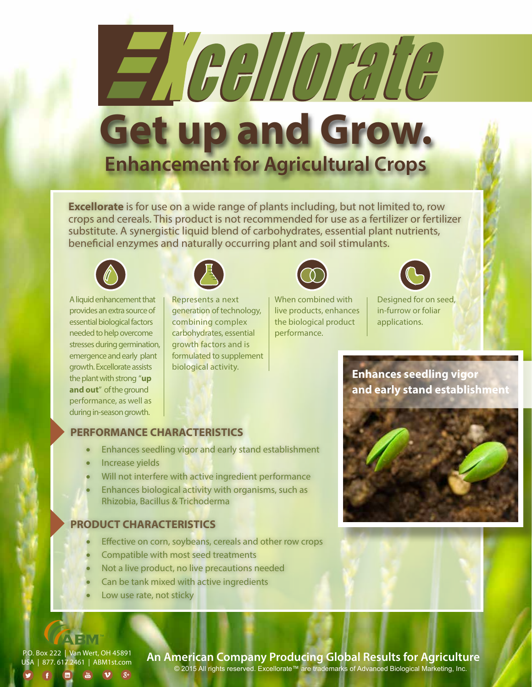# Heallorate **Get up and Grow. Enhancement for Agricultural Crops**

**Excellorate** is for use on a wide range of plants including, but not limited to, row crops and cereals. This product is not recommended for use as a fertilizer or fertilizer substitute. A synergistic liquid blend of carbohydrates, essential plant nutrients, beneficial enzymes and naturally occurring plant and soil stimulants.



A liquid enhancement that provides an extra source of essential biological factors needed to help overcome stresses during germination, emergence and early plant growth. Excellorate assists the plant with strong "**up and out**" of the ground performance, as well as during in-season growth.



Represents a next generation of technology, combining complex carbohydrates, essential growth factors and is formulated to supplement biological activity.



When combined with live products, enhances the biological product performance.

Designed for on seed, in-furrow or foliar

applications.

**Enhances seedling vigor and early stand establishment**



# **PERFORMANCE CHARACTERISTICS**

- Enhances seedling vigor and early stand establishment
- Increase yields
- Will not interfere with active ingredient performance
- Enhances biological activity with organisms, such as Rhizobia, Bacillus & Trichoderma

#### **PRODUCT CHARACTERISTICS**

- Effective on corn, soybeans, cereals and other row crops
- Compatible with most seed treatments
- Not a live product, no live precautions needed
- Can be tank mixed with active ingredients
- Low use rate, not sticky

P.O. Box 222 | Van Wert, OH 45891 USA | 877. 617.2461 | ABM1st.com

**TEM** 

 $\boxed{m}$   $\boxed{m}$   $\boxed{v}$   $\boxed{g_{+}}$ 

**An American Company Producing Global Results for Agriculture**

© 2015 All rights reserved. Excellorate™ are trademarks of Advanced Biological Marketing, Inc.